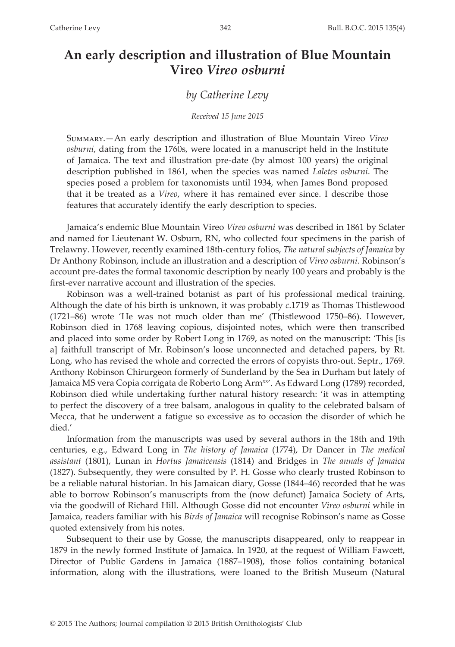# **An early description and illustration of Blue Mountain Vireo** *Vireo osburni*

### *by Catherine Levy*

#### *Received 15 June 2015*

Summary.—An early description and illustration of Blue Mountain Vireo *Vireo osburni*, dating from the 1760s, were located in a manuscript held in the Institute of Jamaica. The text and illustration pre-date (by almost 100 years) the original description published in 1861, when the species was named *Laletes osburni*. The species posed a problem for taxonomists until 1934, when James Bond proposed that it be treated as a *Vireo*, where it has remained ever since. I describe those features that accurately identify the early description to species.

Jamaica's endemic Blue Mountain Vireo *Vireo osburni* was described in 1861 by Sclater and named for Lieutenant W. Osburn, RN, who collected four specimens in the parish of Trelawny. However, recently examined 18th-century folios, *The natural subjects of Jamaica* by Dr Anthony Robinson, include an illustration and a description of *Vireo osburni*. Robinson's account pre-dates the formal taxonomic description by nearly 100 years and probably is the first-ever narrative account and illustration of the species.

Robinson was a well-trained botanist as part of his professional medical training. Although the date of his birth is unknown, it was probably *c*.1719 as Thomas Thistlewood (1721–86) wrote 'He was not much older than me' (Thistlewood 1750–86). However, Robinson died in 1768 leaving copious, disjointed notes, which were then transcribed and placed into some order by Robert Long in 1769, as noted on the manuscript: 'This [is a] faithfull transcript of Mr. Robinson's loose unconnected and detached papers, by Rt. Long, who has revised the whole and corrected the errors of copyists thro-out. Septr., 1769. Anthony Robinson Chirurgeon formerly of Sunderland by the Sea in Durham but lately of Jamaica MS vera Copia corrigata de Roberto Long Arm<sup>xx</sup>'. As Edward Long (1789) recorded, Robinson died while undertaking further natural history research: 'it was in attempting to perfect the discovery of a tree balsam, analogous in quality to the celebrated balsam of Mecca, that he underwent a fatigue so excessive as to occasion the disorder of which he died.'

Information from the manuscripts was used by several authors in the 18th and 19th centuries, e.g., Edward Long in *The history of Jamaica* (1774), Dr Dancer in *The medical assistant* (1801), Lunan in *Hortus Jamaicensis* (1814) and Bridges in *The annals of Jamaica* (1827). Subsequently, they were consulted by P. H. Gosse who clearly trusted Robinson to be a reliable natural historian. In his Jamaican diary, Gosse (1844–46) recorded that he was able to borrow Robinson's manuscripts from the (now defunct) Jamaica Society of Arts, via the goodwill of Richard Hill. Although Gosse did not encounter *Vireo osburni* while in Jamaica, readers familiar with his *Birds of Jamaica* will recognise Robinson's name as Gosse quoted extensively from his notes.

Subsequent to their use by Gosse, the manuscripts disappeared, only to reappear in 1879 in the newly formed Institute of Jamaica. In 1920, at the request of William Fawcett, Director of Public Gardens in Jamaica (1887–1908), those folios containing botanical information, along with the illustrations, were loaned to the British Museum (Natural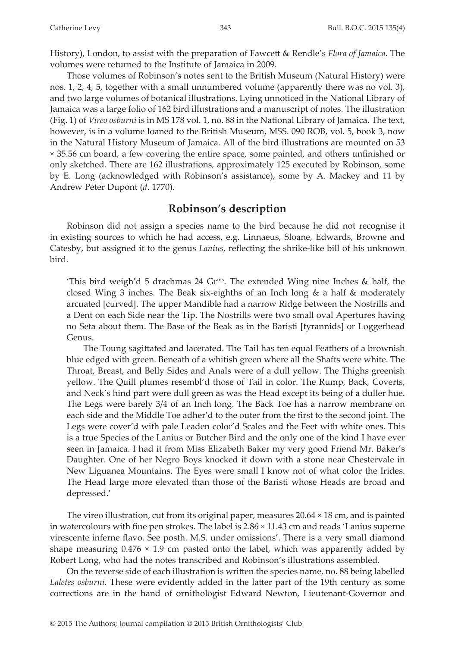History), London, to assist with the preparation of Fawcett & Rendle's *Flora of Jamaica*. The volumes were returned to the Institute of Jamaica in 2009.

Those volumes of Robinson's notes sent to the British Museum (Natural History) were nos. 1, 2, 4, 5, together with a small unnumbered volume (apparently there was no vol. 3), and two large volumes of botanical illustrations. Lying unnoticed in the National Library of Jamaica was a large folio of 162 bird illustrations and a manuscript of notes. The illustration (Fig. 1) of *Vireo osburni* is in MS 178 vol. 1, no. 88 in the National Library of Jamaica. The text, however, is in a volume loaned to the British Museum, MSS. 090 ROB, vol. 5, book 3, now in the Natural History Museum of Jamaica. All of the bird illustrations are mounted on 53 × 35.56 cm board, a few covering the entire space, some painted, and others unfinished or only sketched. There are 162 illustrations, approximately 125 executed by Robinson, some by E. Long (acknowledged with Robinson's assistance), some by A. Mackey and 11 by Andrew Peter Dupont (*d*. 1770).

### **Robinson's description**

Robinson did not assign a species name to the bird because he did not recognise it in existing sources to which he had access, e.g. Linnaeus, Sloane, Edwards, Browne and Catesby, but assigned it to the genus *Lanius*, reflecting the shrike-like bill of his unknown bird.

'This bird weigh'd 5 drachmas 24  $\text{Gr}^{\text{ms}}$ . The extended Wing nine Inches & half, the closed Wing 3 inches. The Beak six-eighths of an Inch long & a half & moderately arcuated [curved]. The upper Mandible had a narrow Ridge between the Nostrills and a Dent on each Side near the Tip. The Nostrills were two small oval Apertures having no Seta about them. The Base of the Beak as in the Baristi [tyrannids] or Loggerhead Genus.

The Toung sagittated and lacerated. The Tail has ten equal Feathers of a brownish blue edged with green. Beneath of a whitish green where all the Shafts were white. The Throat, Breast, and Belly Sides and Anals were of a dull yellow. The Thighs greenish yellow. The Quill plumes resembl'd those of Tail in color. The Rump, Back, Coverts, and Neck's hind part were dull green as was the Head except its being of a duller hue. The Legs were barely 3/4 of an Inch long. The Back Toe has a narrow membrane on each side and the Middle Toe adher'd to the outer from the first to the second joint. The Legs were cover'd with pale Leaden color'd Scales and the Feet with white ones. This is a true Species of the Lanius or Butcher Bird and the only one of the kind I have ever seen in Jamaica. I had it from Miss Elizabeth Baker my very good Friend Mr. Baker's Daughter. One of her Negro Boys knocked it down with a stone near Chestervale in New Liguanea Mountains. The Eyes were small I know not of what color the Irides. The Head large more elevated than those of the Baristi whose Heads are broad and depressed.'

The vireo illustration, cut from its original paper, measures 20.64 × 18 cm, and is painted in watercolours with fine pen strokes. The label is 2.86 × 11.43 cm and reads 'Lanius superne virescente inferne flavo. See posth. M.S. under omissions'. There is a very small diamond shape measuring  $0.476 \times 1.9$  cm pasted onto the label, which was apparently added by Robert Long, who had the notes transcribed and Robinson's illustrations assembled.

On the reverse side of each illustration is written the species name, no. 88 being labelled *Laletes osburni*. These were evidently added in the latter part of the 19th century as some corrections are in the hand of ornithologist Edward Newton, Lieutenant-Governor and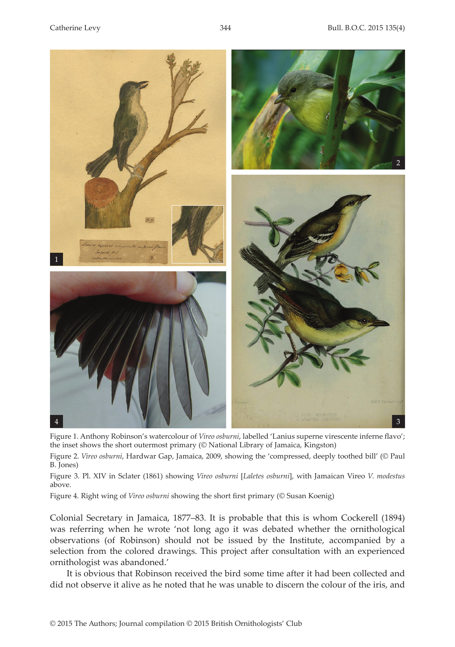

Figure 1. Anthony Robinson's watercolour of *Vireo osburni*, labelled 'Lanius superne virescente inferne flavo'; the inset shows the short outermost primary (© National Library of Jamaica, Kingston)

Figure 2. *Vireo osburni*, Hardwar Gap, Jamaica, 2009, showing the 'compressed, deeply toothed bill' (© Paul B. Jones)

Figure 3. Pl. XIV in Sclater (1861) showing *Vireo osburni* [*Laletes osburni*], with Jamaican Vireo *V. modestus* above.

Figure 4. Right wing of *Vireo osburni* showing the short first primary (© Susan Koenig)

Colonial Secretary in Jamaica, 1877–83. It is probable that this is whom Cockerell (1894) was referring when he wrote 'not long ago it was debated whether the ornithological observations (of Robinson) should not be issued by the Institute, accompanied by a selection from the colored drawings. This project after consultation with an experienced ornithologist was abandoned.'

It is obvious that Robinson received the bird some time after it had been collected and did not observe it alive as he noted that he was unable to discern the colour of the iris, and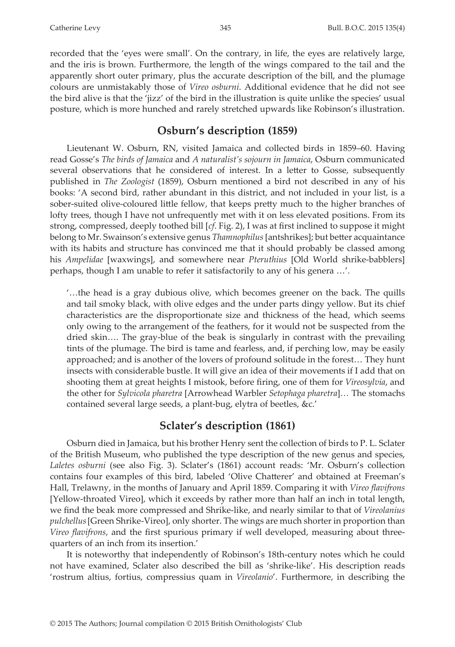recorded that the 'eyes were small'. On the contrary, in life, the eyes are relatively large, and the iris is brown. Furthermore, the length of the wings compared to the tail and the apparently short outer primary, plus the accurate description of the bill, and the plumage colours are unmistakably those of *Vireo osburni*. Additional evidence that he did not see the bird alive is that the 'jizz' of the bird in the illustration is quite unlike the species' usual posture, which is more hunched and rarely stretched upwards like Robinson's illustration.

## **Osburn's description (1859)**

Lieutenant W. Osburn, RN, visited Jamaica and collected birds in 1859–60. Having read Gosse's *The birds of Jamaica* and *A naturalist's sojourn in Jamaica*, Osburn communicated several observations that he considered of interest. In a letter to Gosse, subsequently published in *The Zoologist* (1859), Osburn mentioned a bird not described in any of his books: 'A second bird, rather abundant in this district, and not included in your list, is a sober-suited olive-coloured little fellow, that keeps pretty much to the higher branches of lofty trees, though I have not unfrequently met with it on less elevated positions. From its strong, compressed, deeply toothed bill [*cf*. Fig. 2), I was at first inclined to suppose it might belong to Mr. Swainson's extensive genus *Thamnophilus* [antshrikes]; but better acquaintance with its habits and structure has convinced me that it should probably be classed among his *Ampelidae* [waxwings], and somewhere near *Pteruthius* [Old World shrike-babblers] perhaps, though I am unable to refer it satisfactorily to any of his genera …'.

'…the head is a gray dubious olive, which becomes greener on the back. The quills and tail smoky black, with olive edges and the under parts dingy yellow. But its chief characteristics are the disproportionate size and thickness of the head, which seems only owing to the arrangement of the feathers, for it would not be suspected from the dried skin…. The gray-blue of the beak is singularly in contrast with the prevailing tints of the plumage. The bird is tame and fearless, and, if perching low, may be easily approached; and is another of the lovers of profound solitude in the forest… They hunt insects with considerable bustle. It will give an idea of their movements if I add that on shooting them at great heights I mistook, before firing, one of them for *Vireosylvia*, and the other for *Sylvicola pharetra* [Arrowhead Warbler *Setophaga pharetra*]*…* The stomachs contained several large seeds, a plant-bug, elytra of beetles, &c.'

## **Sclater's description (1861)**

Osburn died in Jamaica, but his brother Henry sent the collection of birds to P. L. Sclater of the British Museum, who published the type description of the new genus and species, *Laletes osburni* (see also Fig. 3). Sclater's (1861) account reads: 'Mr. Osburn's collection contains four examples of this bird, labeled 'Olive Chatterer' and obtained at Freeman's Hall, Trelawny, in the months of January and April 1859. Comparing it with *Vireo flavifrons* [Yellow-throated Vireo], which it exceeds by rather more than half an inch in total length, we find the beak more compressed and Shrike-like, and nearly similar to that of *Vireolanius pulchellus*[Green Shrike-Vireo], only shorter. The wings are much shorter in proportion than *Vireo flavifrons*, and the first spurious primary if well developed, measuring about threequarters of an inch from its insertion.'

It is noteworthy that independently of Robinson's 18th-century notes which he could not have examined, Sclater also described the bill as 'shrike-like'. His description reads 'rostrum altius, fortius, compressius quam in *Vireolanio*'. Furthermore, in describing the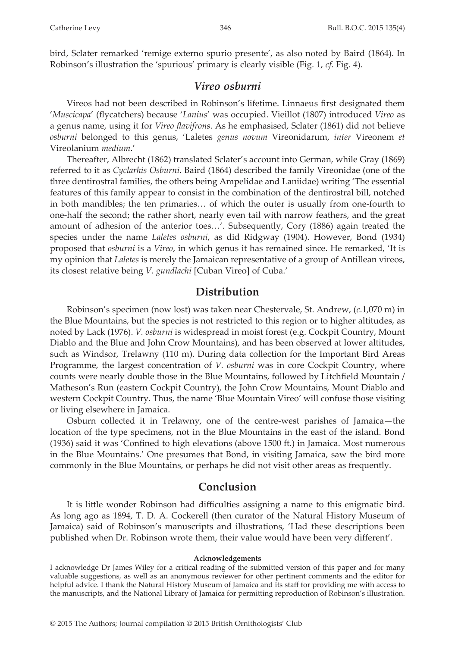bird, Sclater remarked 'remige externo spurio presente', as also noted by Baird (1864). In Robinson's illustration the 'spurious' primary is clearly visible (Fig. 1, *cf*. Fig. 4).

### *Vireo osburni*

Vireos had not been described in Robinson's lifetime. Linnaeus first designated them '*Muscicapa*' (flycatchers) because '*Lanius*' was occupied. Vieillot (1807) introduced *Vireo* as a genus name, using it for *Vireo flavifrons*. As he emphasised, Sclater (1861) did not believe *osburni* belonged to this genus, 'Laletes *genus novum* Vireonidarum, *inter* Vireonem *et* Vireolanium *medium*.'

Thereafter, Albrecht (1862) translated Sclater's account into German, while Gray (1869) referred to it as *Cyclarhis Osburni*. Baird (1864) described the family Vireonidae (one of the three dentirostral families, the others being Ampelidae and Laniidae) writing 'The essential features of this family appear to consist in the combination of the dentirostral bill, notched in both mandibles; the ten primaries… of which the outer is usually from one-fourth to one-half the second; the rather short, nearly even tail with narrow feathers, and the great amount of adhesion of the anterior toes…'. Subsequently, Cory (1886) again treated the species under the name *Laletes osburni*, as did Ridgway (1904). However, Bond (1934) proposed that *osburni* is a *Vireo*, in which genus it has remained since. He remarked, 'It is my opinion that *Laletes* is merely the Jamaican representative of a group of Antillean vireos, its closest relative being *V. gundlachi* [Cuban Vireo] of Cuba.'

### **Distribution**

Robinson's specimen (now lost) was taken near Chestervale, St. Andrew, (*c*.1,070 m) in the Blue Mountains, but the species is not restricted to this region or to higher altitudes, as noted by Lack (1976). *V. osburni* is widespread in moist forest (e.g. Cockpit Country, Mount Diablo and the Blue and John Crow Mountains), and has been observed at lower altitudes, such as Windsor, Trelawny (110 m). During data collection for the Important Bird Areas Programme, the largest concentration of *V. osburni* was in core Cockpit Country, where counts were nearly double those in the Blue Mountains, followed by Litchfield Mountain / Matheson's Run (eastern Cockpit Country), the John Crow Mountains, Mount Diablo and western Cockpit Country. Thus, the name 'Blue Mountain Vireo' will confuse those visiting or living elsewhere in Jamaica.

Osburn collected it in Trelawny, one of the centre-west parishes of Jamaica—the location of the type specimens, not in the Blue Mountains in the east of the island. Bond (1936) said it was 'Confined to high elevations (above 1500 ft.) in Jamaica. Most numerous in the Blue Mountains.' One presumes that Bond, in visiting Jamaica, saw the bird more commonly in the Blue Mountains, or perhaps he did not visit other areas as frequently.

### **Conclusion**

It is little wonder Robinson had difficulties assigning a name to this enigmatic bird. As long ago as 1894, T. D. A. Cockerell (then curator of the Natural History Museum of Jamaica) said of Robinson's manuscripts and illustrations, 'Had these descriptions been published when Dr. Robinson wrote them, their value would have been very different'.

#### **Acknowledgements**

I acknowledge Dr James Wiley for a critical reading of the submitted version of this paper and for many valuable suggestions, as well as an anonymous reviewer for other pertinent comments and the editor for helpful advice. I thank the Natural History Museum of Jamaica and its staff for providing me with access to the manuscripts, and the National Library of Jamaica for permitting reproduction of Robinson's illustration.